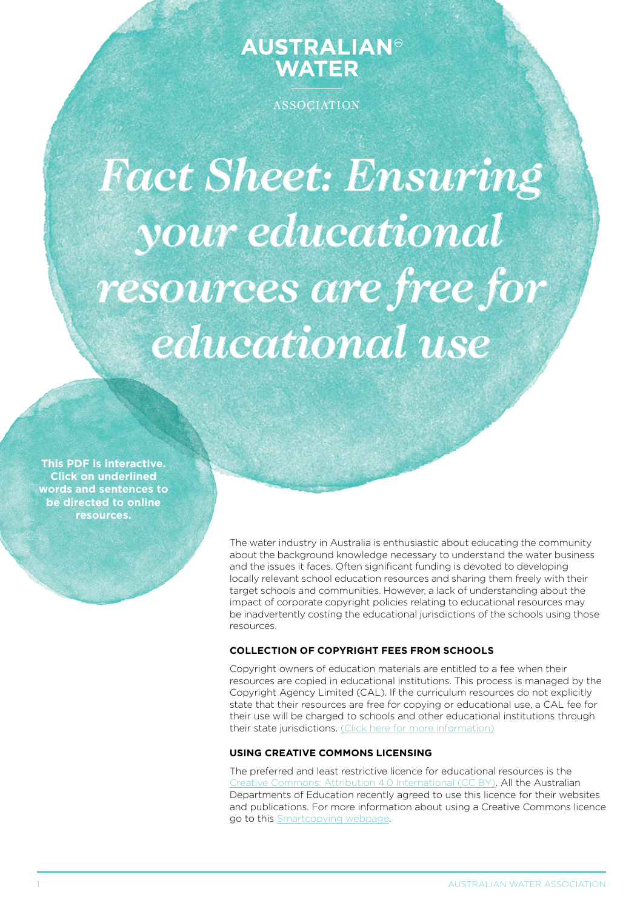# **AUSTRALIAN® WATER**

ASSOCIATION

*Fact Sheet: Ensuring your educational resources are free for educational use*

**This PDF is interactive. Click on underlined words and sentences to be directed to online resources.**

> The water industry in Australia is enthusiastic about educating the community about the background knowledge necessary to understand the water business and the issues it faces. Often significant funding is devoted to developing locally relevant school education resources and sharing them freely with their target schools and communities. However, a lack of understanding about the impact of corporate copyright policies relating to educational resources may be inadvertently costing the educational jurisdictions of the schools using those resources.

# **Collection of copyright fees from schools**

Copyright owners of education materials are entitled to a fee when their resources are copied in educational institutions. This process is managed by the Copyright Agency Limited (CAL). If the curriculum resources do not explicitly state that their resources are free for copying or educational use, a CAL fee for their use will be charged to schools and other educational institutions through their state jurisdictions. [\(Click here for more information](http://www.smartcopying.edu.au/open-education/open-education-resources))

### **Using Creative Commons licensing**

The preferred and least restrictive licence for educational resources is the [Creative Commons: Attribution 4.0 International \(CC BY\)](https://creativecommons.org/). All the Australian Departments of Education recently agreed to use this licence for their websites and publications. For more information about using a Creative Commons licence go to this [Smartcopying webpage](http://www.smartcopying.edu.au/open-education/creative-commons).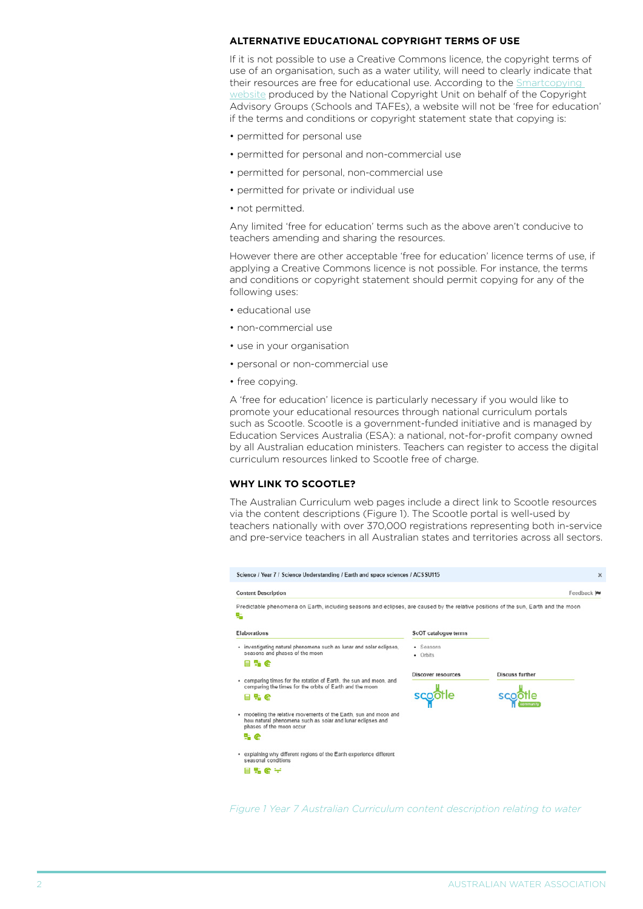# **Alternative educational copyright terms of use**

If it is not possible to use a Creative Commons licence, the copyright terms of use of an organisation, such as a water utility, will need to clearly indicate that their resources are free for educational use. According to the **Smartcopying** [website](http://www.smartcopying.edu.au/information-sheets/schools/using-digital-content-repositories-copyright-compliance-manual-for-schools/using-free-for-education-material-and-open-education-resources/using-free-for-education-material-and-open-education-resources) produced by the National Copyright Unit on behalf of the Copyright Advisory Groups (Schools and TAFEs), a website will not be 'free for education' if the terms and conditions or copyright statement state that copying is:

- permitted for personal use
- permitted for personal and non-commercial use
- permitted for personal, non-commercial use
- permitted for private or individual use
- not permitted.

Any limited 'free for education' terms such as the above aren't conducive to teachers amending and sharing the resources.

However there are other acceptable 'free for education' licence terms of use, if applying a Creative Commons licence is not possible. For instance, the terms and conditions or copyright statement should permit copying for any of the following uses:

- educational use
- • non-commercial use
- use in your organisation
- personal or non-commercial use
- free copying.

A 'free for education' licence is particularly necessary if you would like to promote your educational resources through national curriculum portals such as Scootle. Scootle is a government-funded initiative and is managed by Education Services Australia (ESA): a national, not-for-profit company owned by all Australian education ministers. Teachers can register to access the digital curriculum resources linked to Scootle free of charge.

## **Why link to Scootle?**

The Australian Curriculum web pages include a direct link to Scootle resources via the content descriptions (Figure 1). The Scootle portal is well-used by teachers nationally with over 370,000 registrations representing both in-service and pre-service teachers in all Australian states and territories across all sectors.

| <b>Content Description</b><br>Predictable phenomena on Earth, including seasons and eclipses, are caused by the relative positions of the sun. Earth and the moon |                       | Feedback I      |
|-------------------------------------------------------------------------------------------------------------------------------------------------------------------|-----------------------|-----------------|
| 骗                                                                                                                                                                 |                       |                 |
| Elaborations                                                                                                                                                      | ScOT catalogue terms  |                 |
| · investigating natural phenomena such as lunar and solar eclipses.<br>seasons and phases of the moon                                                             | · Seasons<br>• Orbits |                 |
| %e                                                                                                                                                                |                       |                 |
| • comparing times for the rotation of Earth, the sun and moon, and<br>comparing the times for the orbits of Earth and the moon                                    | Discover resources    | Discuss further |
| 目出色                                                                                                                                                               |                       |                 |
| . modelling the relative movements of the Earth, sun and moon and<br>how natural phenomena such as solar and lunar eclipses and<br>phases of the moon occur       |                       |                 |
| ա.e                                                                                                                                                               |                       |                 |
| • explaining why different regions of the Earth experience different<br>seasonal conditions                                                                       |                       |                 |
|                                                                                                                                                                   |                       |                 |

*[Figure 1 Year 7 Australian Curriculum content description relating to water](http://www.australiancurriculum.edu.au/science/curriculum/f-10?layout=1#level7)*